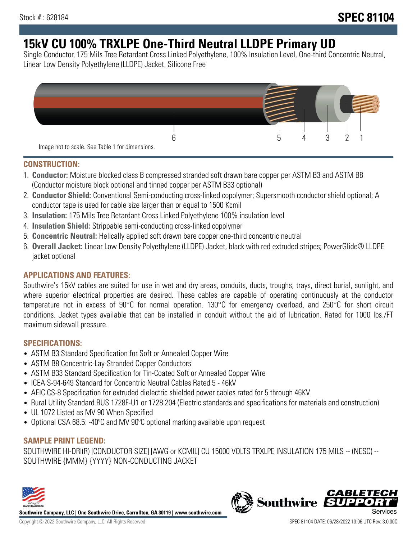# **15kV CU 100% TRXLPE One-Third Neutral LLDPE Primary UD**

Single Conductor, 175 Mils Tree Retardant Cross Linked Polyethylene, 100% Insulation Level, One-third Concentric Neutral, Linear Low Density Polyethylene (LLDPE) Jacket. Silicone Free



### **CONSTRUCTION:**

- 1. **Conductor:** Moisture blocked class B compressed stranded soft drawn bare copper per ASTM B3 and ASTM B8 (Conductor moisture block optional and tinned copper per ASTM B33 optional)
- 2. **Conductor Shield:** Conventional Semi-conducting cross-linked copolymer; Supersmooth conductor shield optional; A conductor tape is used for cable size larger than or equal to 1500 Kcmil
- 3. **Insulation:** 175 Mils Tree Retardant Cross Linked Polyethylene 100% insulation level
- 4. **Insulation Shield:** Strippable semi-conducting cross-linked copolymer
- 5. **Concentric Neutral:** Helically applied soft drawn bare copper one-third concentric neutral
- 6. **Overall Jacket:** Linear Low Density Polyethylene (LLDPE) Jacket, black with red extruded stripes; PowerGlide® LLDPE jacket optional

### **APPLICATIONS AND FEATURES:**

Southwire's 15kV cables are suited for use in wet and dry areas, conduits, ducts, troughs, trays, direct burial, sunlight, and where superior electrical properties are desired. These cables are capable of operating continuously at the conductor temperature not in excess of 90°C for normal operation. 130°C for emergency overload, and 250°C for short circuit conditions. Jacket types available that can be installed in conduit without the aid of lubrication. Rated for 1000 lbs./FT maximum sidewall pressure.

### **SPECIFICATIONS:**

- ASTM B3 Standard Specification for Soft or Annealed Copper Wire
- ASTM B8 Concentric-Lay-Stranded Copper Conductors
- ASTM B33 Standard Specification for Tin-Coated Soft or Annealed Copper Wire
- ICEA S-94-649 Standard for Concentric Neutral Cables Rated 5 46kV
- AEIC CS-8 Specification for extruded dielectric shielded power cables rated for 5 through 46KV
- Rural Utility Standard RUS 1728F-U1 or 1728.204 (Electric standards and specifications for materials and construction)
- UL 1072 Listed as MV 90 When Specified
- Optional CSA 68.5: -40ºC and MV 90ºC optional marking available upon request

### **SAMPLE PRINT LEGEND:**

SOUTHWIRE HI-DRI(R) [CONDUCTOR SIZE] [AWG or KCMIL] CU 15000 VOLTS TRXLPE INSULATION 175 MILS -- (NESC) -- SOUTHWIRE {MMM} {YYYY} NON-CONDUCTING JACKET



**Southwire Company, LLC | One Southwire Drive, Carrollton, GA 30119 | www.southwire.com**

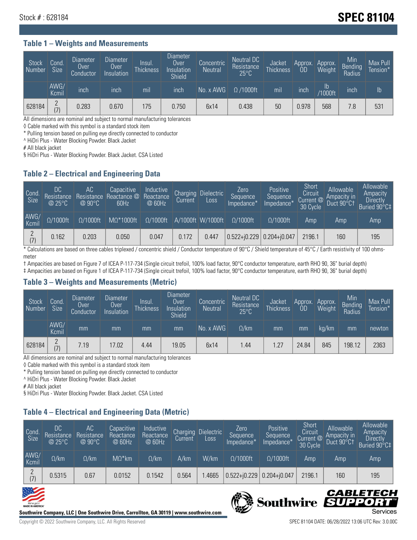## Stock # : 628184 **SPEC 81104**

#### **Table 1 – Weights and Measurements**

| <b>Stock</b><br>Number | Cond.<br><b>Size</b> | <b>Diameter</b><br>Over<br>Conductor | <b>Diameter</b><br>Over<br>Insulation | lnsul.<br>Thickness | <b>Diameter</b><br>Over<br>Insulation<br><b>Shield</b> | Concentric<br><b>Neutral</b> | Neutral DC<br>Resistance<br>$25^{\circ}$ C | <b>Jacket</b><br><b>Thickness</b> | Approx.<br>OD | Approx.<br>Weight    | Min<br><b>Bending</b><br>Radius | Max Pull<br>Tension* <sup>1</sup> |
|------------------------|----------------------|--------------------------------------|---------------------------------------|---------------------|--------------------------------------------------------|------------------------------|--------------------------------------------|-----------------------------------|---------------|----------------------|---------------------------------|-----------------------------------|
|                        | AWG/<br>Kcmil        | inch                                 | inch                                  | mil                 | inch                                                   | No. x AWG                    | $\Omega$ /1000ft                           | mil                               | inch          | Ib<br><b>Y1000ft</b> | inch                            | $\mathsf{lb}$                     |
| 628184                 | $\Omega$<br>(7)      | 0.283                                | 0.670                                 | 175                 | 0.750                                                  | 6x14                         | 0.438                                      | 50                                | 0.978         | 568                  | 7.8                             | 531                               |

All dimensions are nominal and subject to normal manufacturing tolerances

◊ Cable marked with this symbol is a standard stock item

\* Pulling tension based on pulling eye directly connected to conductor

^ HiDri Plus - Water Blocking Powder. Black Jacket

# All black jacket

§ HiDri Plus - Water Blocking Powder. Black Jacket. CSA Listed

### **Table 2 – Electrical and Engineering Data**

| Cond.<br>Size | 'DC<br>Resistance<br>@25°C | AC.<br>Resistance<br>$@90^{\circ}C$ | Capacitive<br>Reactance @<br>60Hz | Inductive<br>Reactance<br>@ 60Hz | Charging<br>Current | <b>Dielectric</b><br>Loss | Zero<br>Sequence<br>Impedance*   | Positive<br>Sequence<br>Impedance <sup>+</sup> | Short<br>Circuit<br>Current @<br>30 Cycle | Allowable<br>Ampacity in<br>Duct 90°C1 | Allowable<br>Ampacity<br><b>Directly</b><br>Buried 90°C‡ |
|---------------|----------------------------|-------------------------------------|-----------------------------------|----------------------------------|---------------------|---------------------------|----------------------------------|------------------------------------------------|-------------------------------------------|----------------------------------------|----------------------------------------------------------|
| AWG/<br>Kcmil | $\Omega/1000$ ft           | $\Omega/1000$ ft                    | $M\Omega^*1000$ ft                | $\Omega/1000$ ft                 |                     | A/1000ft W/1000ft         | $\Omega/1000$ ft                 | $\Omega/1000$ ft                               | Amp                                       | Amp                                    | Amp                                                      |
| (7)           | 0.162                      | 0.203                               | 0.050                             | 0.047                            | 0.172               | 0.447                     | $ 0.522 + i0.229 0.204 + i0.047$ |                                                | 2196.1                                    | 160                                    | 195                                                      |

\* Calculations are based on three cables triplexed / concentric shield / Conductor temperature of 90°C / Shield temperature of 45°C / Earth resistivity of 100 ohmsmeter

† Ampacities are based on Figure 7 of ICEA P-117-734 (Single circuit trefoil, 100% load factor, 90°C conductor temperature, earth RHO 90, 36" burial depth) ‡ Ampacities are based on Figure 1 of ICEA P-117-734 (Single circuit trefoil, 100% load factor, 90°C conductor temperature, earth RHO 90, 36" burial depth)

### **Table 3 – Weights and Measurements (Metric)**

| Stock<br>Number | Cond.<br>Size   | Diameter<br>Over<br>Conductor | Diameter,<br><b>Over</b><br>Insulation | Insul.<br><b>Thickness</b> | <b>Diameter</b><br>Over<br>Insulation<br><b>Shield</b> | Concentric<br><b>Neutral</b> | Neutral DC<br>Resistance<br>$25^{\circ}$ C | Jacket<br><b>Thickness</b> | Approx.<br>0D | Approx.<br>Weight | Min<br>Bending<br>Radius | Max Pull<br>Tension* |
|-----------------|-----------------|-------------------------------|----------------------------------------|----------------------------|--------------------------------------------------------|------------------------------|--------------------------------------------|----------------------------|---------------|-------------------|--------------------------|----------------------|
|                 | AWG/<br>Kcmil   | mm                            | mm                                     | mm                         | mm                                                     | No. x AWG                    | $\Omega$ /km                               | mm                         | mm            | kg/km             | mm                       | newton               |
| 628184          | $\Omega$<br>(7) | 7.19                          | 17.02                                  | 4.44                       | 19.05                                                  | 6x14                         | .44                                        | 1.27                       | 24.84         | 845               | 198.12                   | 2363                 |

All dimensions are nominal and subject to normal manufacturing tolerances

◊ Cable marked with this symbol is a standard stock item

\* Pulling tension based on pulling eye directly connected to conductor

^ HiDri Plus - Water Blocking Powder. Black Jacket

# All black jacket

§ HiDri Plus - Water Blocking Powder. Black Jacket. CSA Listed

### **Table 4 – Electrical and Engineering Data (Metric)**

| Cond<br>Size  | DC<br>Resistance<br>@25°C | <b>AC</b><br>Resistance<br>$@90^{\circ}C$ | Capacitive<br>Reactance<br>@ 60Hz | Inductive<br>Reactance<br>@ 60Hz | Charging<br>Current | <b>Dielectric</b><br>Loss | Zero.<br>Sequence<br>Impedance* | Positive<br>Sequence<br>Impedance* | Short<br>Circuit<br>Current @<br>30 Cycle | Allowable<br>Ampacity in<br>Duct 90°Ct | Allowable<br>Ampacity<br><b>Directly</b><br>Buried 90°C‡ |
|---------------|---------------------------|-------------------------------------------|-----------------------------------|----------------------------------|---------------------|---------------------------|---------------------------------|------------------------------------|-------------------------------------------|----------------------------------------|----------------------------------------------------------|
| AWG/<br>Kcmil | $\Omega$ /km              | $\Omega$ /km                              | $M\Omega^*$ km                    | $\Omega$ /km                     | A/km                | W/km                      | $\Omega/1000$ ft                | $\Omega/1000$ ft                   | Amp                                       | Amp                                    | Amp                                                      |
| (7)           | 0.5315                    | 0.67                                      | 0.0152                            | 0.1542                           | 0.564               | .4665                     | $0.522 + 0.229$                 | $0.204 + j0.047$                   | 2196.1                                    | 160                                    | 195                                                      |